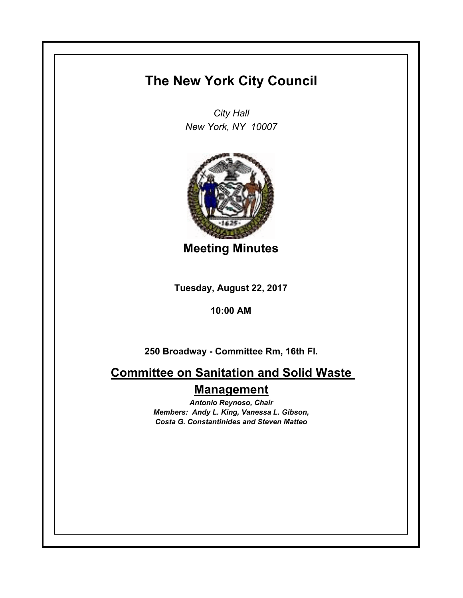# **The New York City Council**

*City Hall New York, NY 10007*



**Meeting Minutes**

**Tuesday, August 22, 2017**

**10:00 AM**

**250 Broadway - Committee Rm, 16th Fl.**

**Committee on Sanitation and Solid Waste Management**

> *Antonio Reynoso, Chair Members: Andy L. King, Vanessa L. Gibson, Costa G. Constantinides and Steven Matteo*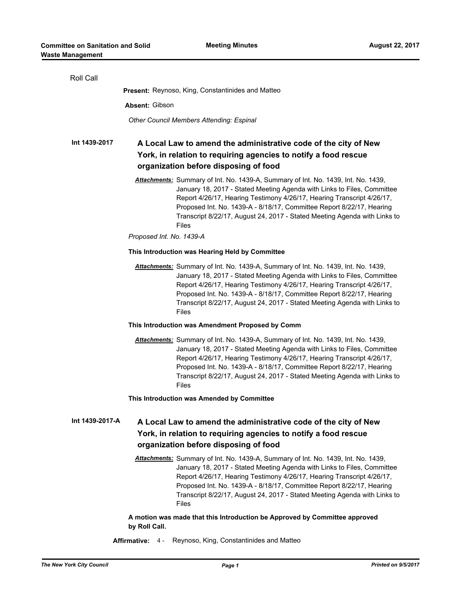| Roll Call       |                                                                                                                                                                                                                                                                                                                                                                                                              |
|-----------------|--------------------------------------------------------------------------------------------------------------------------------------------------------------------------------------------------------------------------------------------------------------------------------------------------------------------------------------------------------------------------------------------------------------|
|                 | <b>Present:</b> Reynoso, King, Constantinides and Matteo                                                                                                                                                                                                                                                                                                                                                     |
|                 | Absent: Gibson                                                                                                                                                                                                                                                                                                                                                                                               |
|                 | Other Council Members Attending: Espinal                                                                                                                                                                                                                                                                                                                                                                     |
| Int 1439-2017   | A Local Law to amend the administrative code of the city of New<br>York, in relation to requiring agencies to notify a food rescue<br>organization before disposing of food                                                                                                                                                                                                                                  |
|                 | Attachments: Summary of Int. No. 1439-A, Summary of Int. No. 1439, Int. No. 1439,<br>January 18, 2017 - Stated Meeting Agenda with Links to Files, Committee<br>Report 4/26/17, Hearing Testimony 4/26/17, Hearing Transcript 4/26/17,<br>Proposed Int. No. 1439-A - 8/18/17, Committee Report 8/22/17, Hearing<br>Transcript 8/22/17, August 24, 2017 - Stated Meeting Agenda with Links to<br><b>Files</b> |
|                 | Proposed Int. No. 1439-A                                                                                                                                                                                                                                                                                                                                                                                     |
|                 | This Introduction was Hearing Held by Committee                                                                                                                                                                                                                                                                                                                                                              |
|                 | Attachments: Summary of Int. No. 1439-A, Summary of Int. No. 1439, Int. No. 1439,<br>January 18, 2017 - Stated Meeting Agenda with Links to Files, Committee<br>Report 4/26/17, Hearing Testimony 4/26/17, Hearing Transcript 4/26/17,<br>Proposed Int. No. 1439-A - 8/18/17, Committee Report 8/22/17, Hearing<br>Transcript 8/22/17, August 24, 2017 - Stated Meeting Agenda with Links to<br><b>Files</b> |
|                 | This Introduction was Amendment Proposed by Comm                                                                                                                                                                                                                                                                                                                                                             |
|                 | Attachments: Summary of Int. No. 1439-A, Summary of Int. No. 1439, Int. No. 1439,<br>January 18, 2017 - Stated Meeting Agenda with Links to Files, Committee<br>Report 4/26/17, Hearing Testimony 4/26/17, Hearing Transcript 4/26/17,<br>Proposed Int. No. 1439-A - 8/18/17, Committee Report 8/22/17, Hearing<br>Transcript 8/22/17, August 24, 2017 - Stated Meeting Agenda with Links to<br>Files        |
|                 | This Introduction was Amended by Committee                                                                                                                                                                                                                                                                                                                                                                   |
| Int 1439-2017-A | A Local Law to amend the administrative code of the city of New<br>York, in relation to requiring agencies to notify a food rescue<br>organization before disposing of food                                                                                                                                                                                                                                  |
|                 | Attachments: Summary of Int. No. 1439-A, Summary of Int. No. 1439, Int. No. 1439,<br>January 18, 2017 - Stated Meeting Agenda with Links to Files, Committee<br>Report 4/26/17, Hearing Testimony 4/26/17, Hearing Transcript 4/26/17,<br>Proposed Int. No. 1439-A - 8/18/17, Committee Report 8/22/17, Hearing<br>Transcript 8/22/17, August 24, 2017 - Stated Meeting Agenda with Links to<br><b>Files</b> |
|                 | A motion was made that this Introduction be Approved by Committee approved                                                                                                                                                                                                                                                                                                                                   |

**by Roll Call.**

**Affirmative:** 4 - Reynoso, King, Constantinides and Matteo